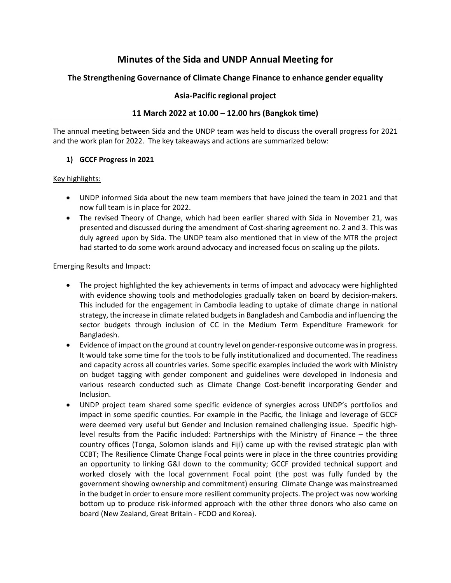# **Minutes of the Sida and UNDP Annual Meeting for**

# **The Strengthening Governance of Climate Change Finance to enhance gender equality**

# **Asia-Pacific regional project**

# **11 March 2022 at 10.00 – 12.00 hrs (Bangkok time)**

The annual meeting between Sida and the UNDP team was held to discuss the overall progress for 2021 and the work plan for 2022. The key takeaways and actions are summarized below:

# **1) GCCF Progress in 2021**

#### Key highlights:

- UNDP informed Sida about the new team members that have joined the team in 2021 and that now full team is in place for 2022.
- The revised Theory of Change, which had been earlier shared with Sida in November 21, was presented and discussed during the amendment of Cost-sharing agreement no. 2 and 3. This was duly agreed upon by Sida. The UNDP team also mentioned that in view of the MTR the project had started to do some work around advocacy and increased focus on scaling up the pilots.

#### Emerging Results and Impact:

- The project highlighted the key achievements in terms of impact and advocacy were highlighted with evidence showing tools and methodologies gradually taken on board by decision-makers. This included for the engagement in Cambodia leading to uptake of climate change in national strategy, the increase in climate related budgets in Bangladesh and Cambodia and influencing the sector budgets through inclusion of CC in the Medium Term Expenditure Framework for Bangladesh.
- Evidence of impact on the ground at country level on gender-responsive outcome was in progress. It would take some time for the tools to be fully institutionalized and documented. The readiness and capacity across all countries varies. Some specific examples included the work with Ministry on budget tagging with gender component and guidelines were developed in Indonesia and various research conducted such as Climate Change Cost-benefit incorporating Gender and Inclusion.
- UNDP project team shared some specific evidence of synergies across UNDP's portfolios and impact in some specific counties. For example in the Pacific, the linkage and leverage of GCCF were deemed very useful but Gender and Inclusion remained challenging issue. Specific highlevel results from the Pacific included: Partnerships with the Ministry of Finance – the three country offices (Tonga, Solomon islands and Fiji) came up with the revised strategic plan with CCBT; The Resilience Climate Change Focal points were in place in the three countries providing an opportunity to linking G&I down to the community; GCCF provided technical support and worked closely with the local government Focal point (the post was fully funded by the government showing ownership and commitment) ensuring Climate Change was mainstreamed in the budget in order to ensure more resilient community projects. The project was now working bottom up to produce risk-informed approach with the other three donors who also came on board (New Zealand, Great Britain - FCDO and Korea).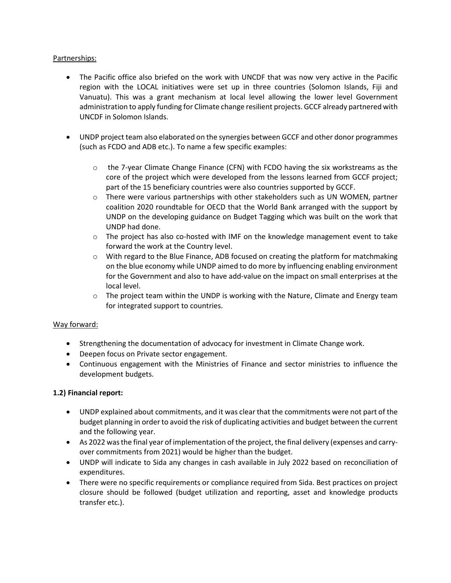# Partnerships:

- The Pacific office also briefed on the work with UNCDF that was now very active in the Pacific region with the LOCAL initiatives were set up in three countries (Solomon Islands, Fiji and Vanuatu). This was a grant mechanism at local level allowing the lower level Government administration to apply funding for Climate change resilient projects. GCCF already partnered with UNCDF in Solomon Islands.
- UNDP project team also elaborated on the synergies between GCCF and other donor programmes (such as FCDO and ADB etc.). To name a few specific examples:
	- o the 7-year Climate Change Finance (CFN) with FCDO having the six workstreams as the core of the project which were developed from the lessons learned from GCCF project; part of the 15 beneficiary countries were also countries supported by GCCF.
	- $\circ$  There were various partnerships with other stakeholders such as UN WOMEN, partner coalition 2020 roundtable for OECD that the World Bank arranged with the support by UNDP on the developing guidance on Budget Tagging which was built on the work that UNDP had done.
	- $\circ$  The project has also co-hosted with IMF on the knowledge management event to take forward the work at the Country level.
	- $\circ$  With regard to the Blue Finance, ADB focused on creating the platform for matchmaking on the blue economy while UNDP aimed to do more by influencing enabling environment for the Government and also to have add-value on the impact on small enterprises at the local level.
	- $\circ$  The project team within the UNDP is working with the Nature, Climate and Energy team for integrated support to countries.

#### Way forward:

- Strengthening the documentation of advocacy for investment in Climate Change work.
- Deepen focus on Private sector engagement.
- Continuous engagement with the Ministries of Finance and sector ministries to influence the development budgets.

#### **1.2) Financial report:**

- UNDP explained about commitments, and it was clear that the commitments were not part of the budget planning in order to avoid the risk of duplicating activities and budget between the current and the following year.
- As 2022 was the final year of implementation of the project, the final delivery (expenses and carryover commitments from 2021) would be higher than the budget.
- UNDP will indicate to Sida any changes in cash available in July 2022 based on reconciliation of expenditures.
- There were no specific requirements or compliance required from Sida. Best practices on project closure should be followed (budget utilization and reporting, asset and knowledge products transfer etc.).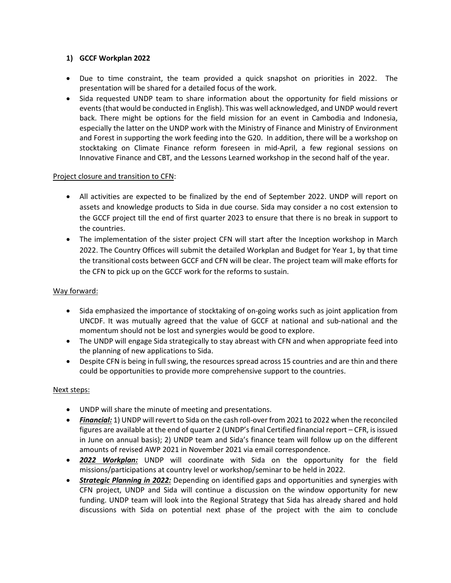#### **1) GCCF Workplan 2022**

- Due to time constraint, the team provided a quick snapshot on priorities in 2022. The presentation will be shared for a detailed focus of the work.
- Sida requested UNDP team to share information about the opportunity for field missions or events (that would be conducted in English). This was well acknowledged, and UNDP would revert back. There might be options for the field mission for an event in Cambodia and Indonesia, especially the latter on the UNDP work with the Ministry of Finance and Ministry of Environment and Forest in supporting the work feeding into the G20. In addition, there will be a workshop on stocktaking on Climate Finance reform foreseen in mid-April, a few regional sessions on Innovative Finance and CBT, and the Lessons Learned workshop in the second half of the year.

# Project closure and transition to CFN:

- All activities are expected to be finalized by the end of September 2022. UNDP will report on assets and knowledge products to Sida in due course. Sida may consider a no cost extension to the GCCF project till the end of first quarter 2023 to ensure that there is no break in support to the countries.
- The implementation of the sister project CFN will start after the Inception workshop in March 2022. The Country Offices will submit the detailed Workplan and Budget for Year 1, by that time the transitional costs between GCCF and CFN will be clear. The project team will make efforts for the CFN to pick up on the GCCF work for the reforms to sustain.

# Way forward:

- Sida emphasized the importance of stocktaking of on-going works such as joint application from UNCDF. It was mutually agreed that the value of GCCF at national and sub-national and the momentum should not be lost and synergies would be good to explore.
- The UNDP will engage Sida strategically to stay abreast with CFN and when appropriate feed into the planning of new applications to Sida.
- Despite CFN is being in full swing, the resources spread across 15 countries and are thin and there could be opportunities to provide more comprehensive support to the countries.

#### Next steps:

- UNDP will share the minute of meeting and presentations.
- *Financial:* 1) UNDP will revert to Sida on the cash roll-over from 2021 to 2022 when the reconciled figures are available at the end of quarter 2 (UNDP's final Certified financial report – CFR, is issued in June on annual basis); 2) UNDP team and Sida's finance team will follow up on the different amounts of revised AWP 2021 in November 2021 via email correspondence.
- *2022 Workplan:* UNDP will coordinate with Sida on the opportunity for the field missions/participations at country level or workshop/seminar to be held in 2022.
- *Strategic Planning in 2022:* Depending on identified gaps and opportunities and synergies with CFN project, UNDP and Sida will continue a discussion on the window opportunity for new funding. UNDP team will look into the Regional Strategy that Sida has already shared and hold discussions with Sida on potential next phase of the project with the aim to conclude